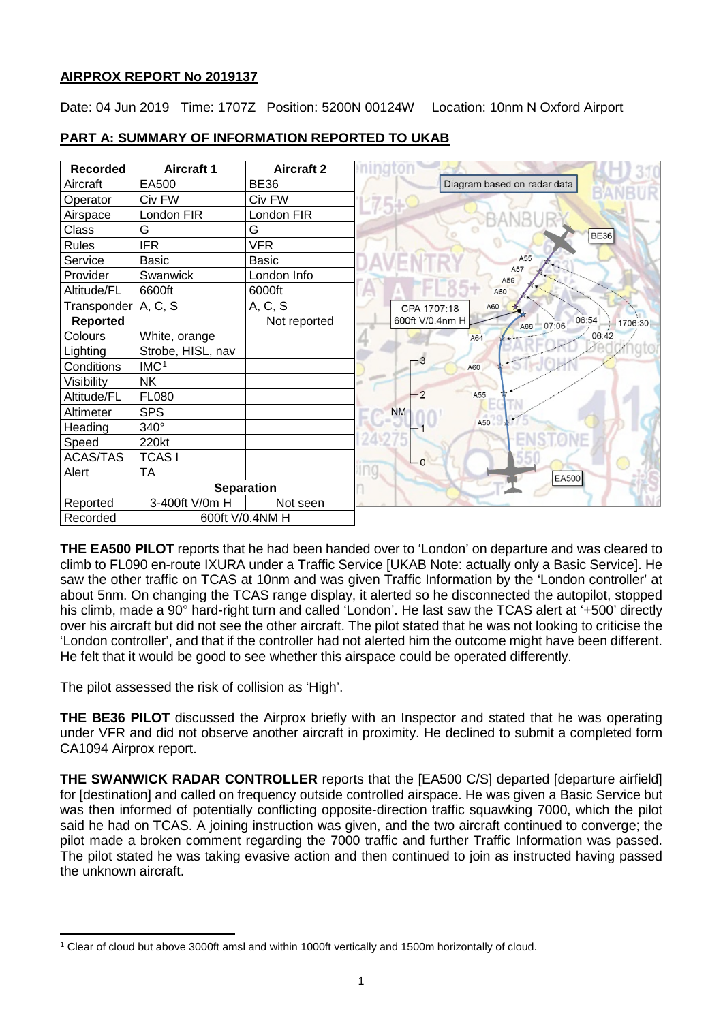### **AIRPROX REPORT No 2019137**

Date: 04 Jun 2019 Time: 1707Z Position: 5200N 00124W Location: 10nm N Oxford Airport

| <b>Recorded</b>       | <b>Aircraft 1</b> | <b>Aircraft 2</b> |                                          |
|-----------------------|-------------------|-------------------|------------------------------------------|
| Aircraft              | EA500             | <b>BE36</b>       | Diagram based on radar data              |
| Operator              | Civ FW            | Civ FW            |                                          |
| Airspace              | London FIR        | London FIR        |                                          |
| Class                 | G                 | G                 |                                          |
| <b>Rules</b>          | <b>IFR</b>        | <b>VFR</b>        |                                          |
| Service               | <b>Basic</b>      | Basic             | A55                                      |
| Provider              | Swanwick          | London Info       | A57<br>A59                               |
| Altitude/FL           | 6600ft            | 6000ft            | A60                                      |
| Transponder   A, C, S |                   | A, C, S           | A60<br>CPA 1707:18                       |
| <b>Reported</b>       |                   | Not reported      | 06:54<br>600ft V/0.4nm H<br>07:06<br>A66 |
| Colours               | White, orange     |                   | A64                                      |
| Lighting              | Strobe, HISL, nav |                   |                                          |
| Conditions            | IMC <sup>1</sup>  |                   | A60                                      |
| Visibility            | <b>NK</b>         |                   |                                          |
| Altitude/FL           | <b>FL080</b>      |                   | $\overline{2}$<br>A55                    |
| Altimeter             | <b>SPS</b>        |                   | <b>NM</b>                                |
| Heading               | 340°              |                   | A50                                      |
| Speed                 | 220kt             |                   |                                          |
| <b>ACAS/TAS</b>       | <b>TCASI</b>      |                   | $-0$                                     |
| Alert                 | <b>TA</b>         |                   | EA500                                    |
|                       |                   | <b>Separation</b> |                                          |
| Reported              | 3-400ft V/0m H    | Not seen          |                                          |
| Recorded              |                   | 600ft V/0.4NM H   |                                          |

## **PART A: SUMMARY OF INFORMATION REPORTED TO UKAB**

**THE EA500 PILOT** reports that he had been handed over to 'London' on departure and was cleared to climb to FL090 en-route IXURA under a Traffic Service [UKAB Note: actually only a Basic Service]. He saw the other traffic on TCAS at 10nm and was given Traffic Information by the 'London controller' at about 5nm. On changing the TCAS range display, it alerted so he disconnected the autopilot, stopped his climb, made a 90° hard-right turn and called 'London'. He last saw the TCAS alert at '+500' directly over his aircraft but did not see the other aircraft. The pilot stated that he was not looking to criticise the 'London controller', and that if the controller had not alerted him the outcome might have been different. He felt that it would be good to see whether this airspace could be operated differently.

The pilot assessed the risk of collision as 'High'.

**THE BE36 PILOT** discussed the Airprox briefly with an Inspector and stated that he was operating under VFR and did not observe another aircraft in proximity. He declined to submit a completed form CA1094 Airprox report.

**THE SWANWICK RADAR CONTROLLER** reports that the [EA500 C/S] departed [departure airfield] for [destination] and called on frequency outside controlled airspace. He was given a Basic Service but was then informed of potentially conflicting opposite-direction traffic squawking 7000, which the pilot said he had on TCAS. A joining instruction was given, and the two aircraft continued to converge; the pilot made a broken comment regarding the 7000 traffic and further Traffic Information was passed. The pilot stated he was taking evasive action and then continued to join as instructed having passed the unknown aircraft.

<span id="page-0-0"></span>l <sup>1</sup> Clear of cloud but above 3000ft amsl and within 1000ft vertically and 1500m horizontally of cloud.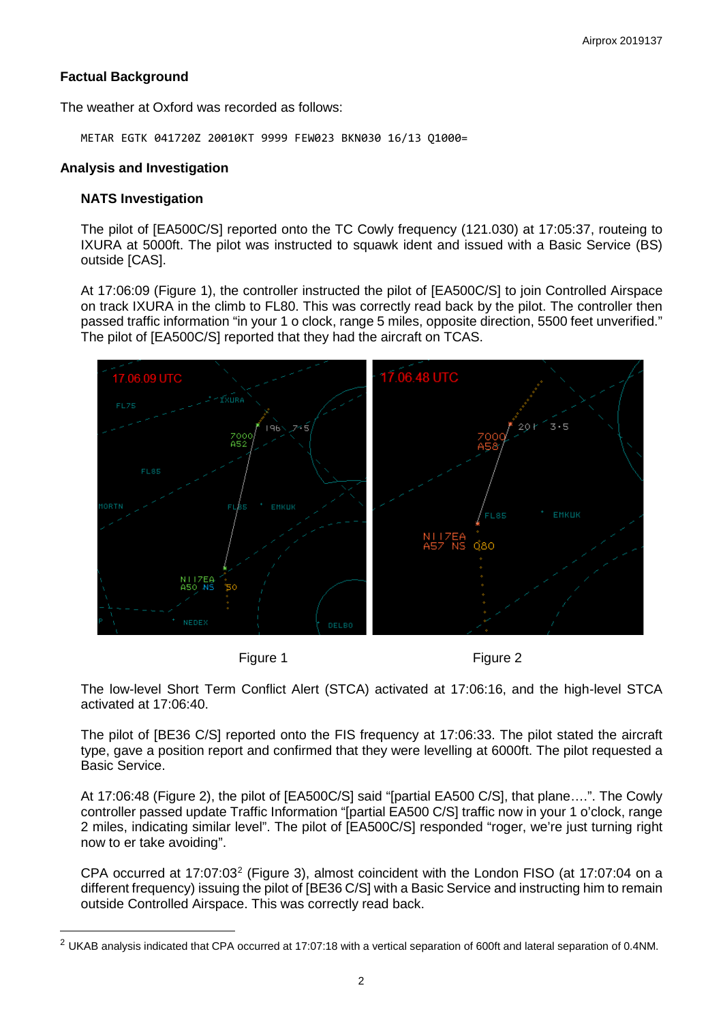### **Factual Background**

The weather at Oxford was recorded as follows:

METAR EGTK 041720Z 20010KT 9999 FEW023 BKN030 16/13 Q1000=

#### **Analysis and Investigation**

#### **NATS Investigation**

l

The pilot of [EA500C/S] reported onto the TC Cowly frequency (121.030) at 17:05:37, routeing to IXURA at 5000ft. The pilot was instructed to squawk ident and issued with a Basic Service (BS) outside [CAS].

At 17:06:09 (Figure 1), the controller instructed the pilot of [EA500C/S] to join Controlled Airspace on track IXURA in the climb to FL80. This was correctly read back by the pilot. The controller then passed traffic information "in your 1 o clock, range 5 miles, opposite direction, 5500 feet unverified." The pilot of [EA500C/S] reported that they had the aircraft on TCAS.



Figure 1 Figure 2

The low-level Short Term Conflict Alert (STCA) activated at 17:06:16, and the high-level STCA activated at 17:06:40.

The pilot of [BE36 C/S] reported onto the FIS frequency at 17:06:33. The pilot stated the aircraft type, gave a position report and confirmed that they were levelling at 6000ft. The pilot requested a Basic Service.

At 17:06:48 (Figure 2), the pilot of [EA500C/S] said "[partial EA500 C/S], that plane….". The Cowly controller passed update Traffic Information "[partial EA500 C/S] traffic now in your 1 o'clock, range 2 miles, indicating similar level". The pilot of [EA500C/S] responded "roger, we're just turning right now to er take avoiding".

CPA occurred at 17:07:03<sup>[2](#page-1-0)</sup> (Figure 3), almost coincident with the London FISO (at 17:07:04 on a different frequency) issuing the pilot of [BE36 C/S] with a Basic Service and instructing him to remain outside Controlled Airspace. This was correctly read back.

<span id="page-1-0"></span> $2$  UKAB analysis indicated that CPA occurred at 17:07:18 with a vertical separation of 600ft and lateral separation of 0.4NM.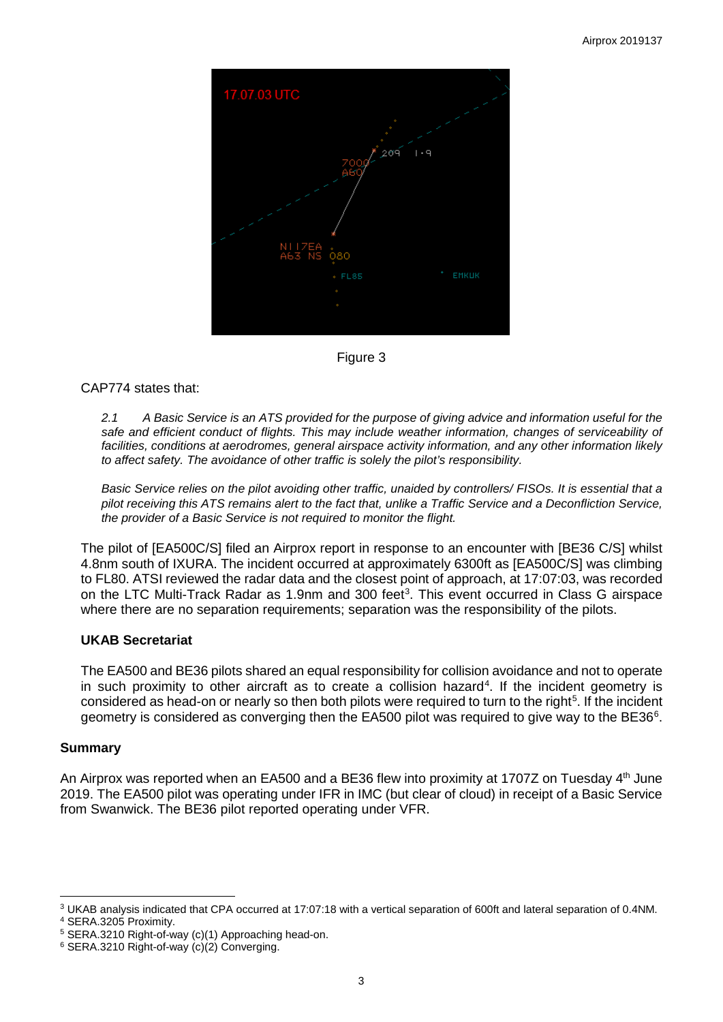

Figure 3

### CAP774 states that:

*2.1 A Basic Service is an ATS provided for the purpose of giving advice and information useful for the safe and efficient conduct of flights. This may include weather information, changes of serviceability of facilities, conditions at aerodromes, general airspace activity information, and any other information likely to affect safety. The avoidance of other traffic is solely the pilot's responsibility.* 

*Basic Service relies on the pilot avoiding other traffic, unaided by controllers/ FISOs. It is essential that a pilot receiving this ATS remains alert to the fact that, unlike a Traffic Service and a Deconfliction Service, the provider of a Basic Service is not required to monitor the flight.*

The pilot of [EA500C/S] filed an Airprox report in response to an encounter with [BE36 C/S] whilst 4.8nm south of IXURA. The incident occurred at approximately 6300ft as [EA500C/S] was climbing to FL80. ATSI reviewed the radar data and the closest point of approach, at 17:07:03, was recorded on the LTC Multi-Track Radar as 1.9nm and [3](#page-2-0)00 feet<sup>3</sup>. This event occurred in Class G airspace where there are no separation requirements; separation was the responsibility of the pilots.

### **UKAB Secretariat**

The EA500 and BE36 pilots shared an equal responsibility for collision avoidance and not to operate in such proximity to other aircraft as to create a collision hazard<sup>[4](#page-2-1)</sup>. If the incident geometry is considered as head-on or nearly so then both pilots were required to turn to the right<sup>[5](#page-2-2)</sup>. If the incident geometry is considered as converging then the EA500 pilot was required to give way to the BE3[6](#page-2-3) $^{\circ}$ .

### **Summary**

An Airprox was reported when an EA500 and a BE36 flew into proximity at 1707Z on Tuesday  $4<sup>th</sup>$  June 2019. The EA500 pilot was operating under IFR in IMC (but clear of cloud) in receipt of a Basic Service from Swanwick. The BE36 pilot reported operating under VFR.

<span id="page-2-0"></span>l <sup>3</sup> UKAB analysis indicated that CPA occurred at 17:07:18 with a vertical separation of 600ft and lateral separation of 0.4NM.

<span id="page-2-1"></span><sup>4</sup> SERA.3205 Proximity.

<span id="page-2-2"></span><sup>5</sup> SERA.3210 Right-of-way (c)(1) Approaching head-on.

<span id="page-2-3"></span><sup>6</sup> SERA.3210 Right-of-way (c)(2) Converging.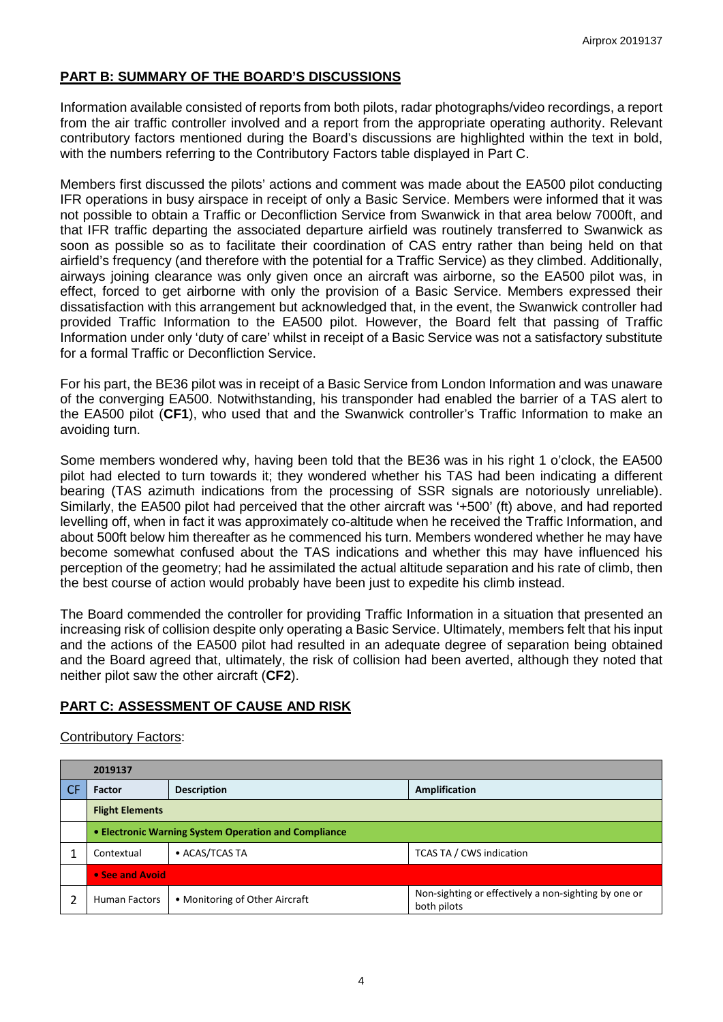## **PART B: SUMMARY OF THE BOARD'S DISCUSSIONS**

Information available consisted of reports from both pilots, radar photographs/video recordings, a report from the air traffic controller involved and a report from the appropriate operating authority. Relevant contributory factors mentioned during the Board's discussions are highlighted within the text in bold, with the numbers referring to the Contributory Factors table displayed in Part C.

Members first discussed the pilots' actions and comment was made about the EA500 pilot conducting IFR operations in busy airspace in receipt of only a Basic Service. Members were informed that it was not possible to obtain a Traffic or Deconfliction Service from Swanwick in that area below 7000ft, and that IFR traffic departing the associated departure airfield was routinely transferred to Swanwick as soon as possible so as to facilitate their coordination of CAS entry rather than being held on that airfield's frequency (and therefore with the potential for a Traffic Service) as they climbed. Additionally, airways joining clearance was only given once an aircraft was airborne, so the EA500 pilot was, in effect, forced to get airborne with only the provision of a Basic Service. Members expressed their dissatisfaction with this arrangement but acknowledged that, in the event, the Swanwick controller had provided Traffic Information to the EA500 pilot. However, the Board felt that passing of Traffic Information under only 'duty of care' whilst in receipt of a Basic Service was not a satisfactory substitute for a formal Traffic or Deconfliction Service.

For his part, the BE36 pilot was in receipt of a Basic Service from London Information and was unaware of the converging EA500. Notwithstanding, his transponder had enabled the barrier of a TAS alert to the EA500 pilot (**CF1**), who used that and the Swanwick controller's Traffic Information to make an avoiding turn.

Some members wondered why, having been told that the BE36 was in his right 1 o'clock, the EA500 pilot had elected to turn towards it; they wondered whether his TAS had been indicating a different bearing (TAS azimuth indications from the processing of SSR signals are notoriously unreliable). Similarly, the EA500 pilot had perceived that the other aircraft was '+500' (ft) above, and had reported levelling off, when in fact it was approximately co-altitude when he received the Traffic Information, and about 500ft below him thereafter as he commenced his turn. Members wondered whether he may have become somewhat confused about the TAS indications and whether this may have influenced his perception of the geometry; had he assimilated the actual altitude separation and his rate of climb, then the best course of action would probably have been just to expedite his climb instead.

The Board commended the controller for providing Traffic Information in a situation that presented an increasing risk of collision despite only operating a Basic Service. Ultimately, members felt that his input and the actions of the EA500 pilot had resulted in an adequate degree of separation being obtained and the Board agreed that, ultimately, the risk of collision had been averted, although they noted that neither pilot saw the other aircraft (**CF2**).

### **PART C: ASSESSMENT OF CAUSE AND RISK**

#### Contributory Factors:

| 2019137                                              |                                |                                                                     |  |  |  |
|------------------------------------------------------|--------------------------------|---------------------------------------------------------------------|--|--|--|
| Factor                                               | <b>Description</b>             | Amplification                                                       |  |  |  |
| <b>Flight Elements</b>                               |                                |                                                                     |  |  |  |
| • Electronic Warning System Operation and Compliance |                                |                                                                     |  |  |  |
| Contextual                                           | • ACAS/TCAS TA                 | TCAS TA / CWS indication                                            |  |  |  |
| • See and Avoid                                      |                                |                                                                     |  |  |  |
| <b>Human Factors</b>                                 | • Monitoring of Other Aircraft | Non-sighting or effectively a non-sighting by one or<br>both pilots |  |  |  |